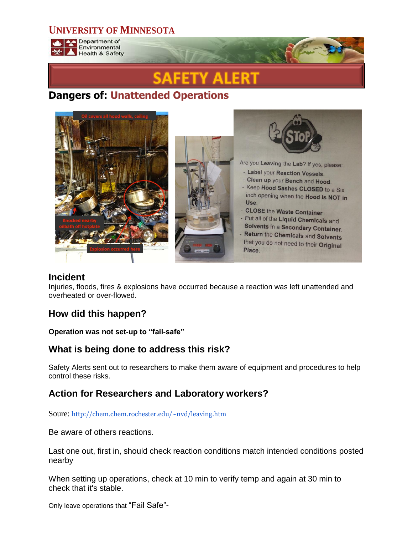## **UNIVERSITY OF MINNESOTA**



# **Dangers of: Unattended Operations**



#### **Incident**

Injuries, floods, fires & explosions have occurred because a reaction was left unattended and overheated or over-flowed.

## **How did this happen?**

#### **Operation was not set-up to "fail-safe"**

#### **What is being done to address this risk?**

Safety Alerts sent out to researchers to make them aware of equipment and procedures to help control these risks.

## **Action for Researchers and Laboratory workers?**

Soure: <http://chem.chem.rochester.edu/~nvd/leaving.htm>

Be aware of others reactions.

Last one out, first in, should check reaction conditions match intended conditions posted nearby

When setting up operations, check at 10 min to verify temp and again at 30 min to check that it's stable.

Only leave operations that "Fail Safe"-